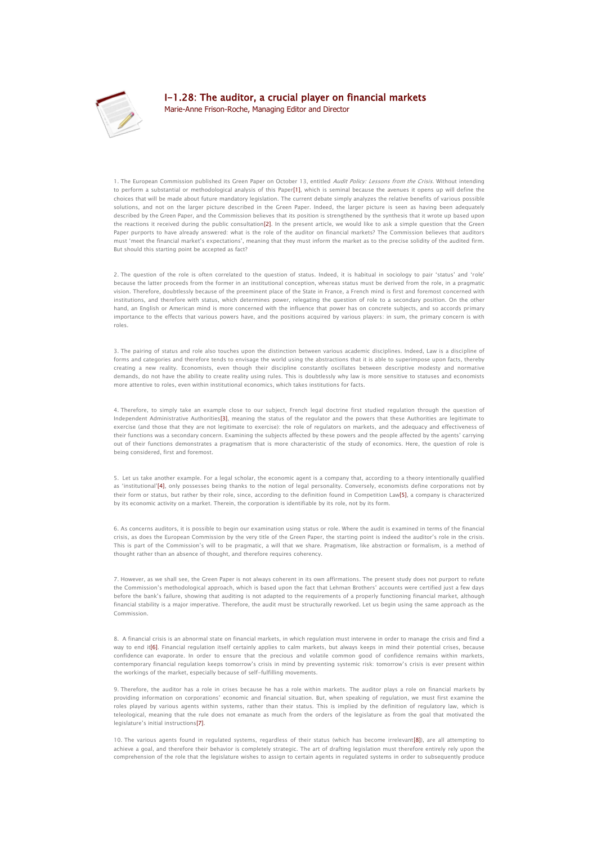

## I-1.28: The auditor, a crucial player on financial markets

[Marie-Anne Frison-Roche, Managing Editor and Director](http://www.thejournalofregulation.com/_Marie-Anne-Frison-Roche_.html)

1. The European Commission published its Green Paper on October 13, entitled Audit Policy: Lessons from the Crisis. Without intending to perform a substantial or methodological analysis of this Pap[er\[1\],](http://www.thejournalofregulation.com/I-1-28-The-auditor-a-crucial.html?var_mode=calcul#_ftn1) which is seminal because the avenues it opens up will define the choices that will be made about future mandatory legislation. The current debate simply analyzes the relative benefits of various possible solutions, and not on the larger picture described in the Green Paper. Indeed, the larger picture is seen as having been adequately described by the Green Paper, and the Commission believes that its position is strengthened by the synthesis that it wrote up based upon the reactions it received during the public consultatio[n\[2\].](http://www.thejournalofregulation.com/I-1-28-The-auditor-a-crucial.html?var_mode=calcul#_ftn2) In the present article, we would like to ask a simple question that the Green Paper purports to have already answered: what is the role of the auditor on financial markets? The Commission believes that auditors must 'meet the financial market's expectations', meaning that they must inform the market as to the precise solidity of the audited firm. But should this starting point be accepted as fact?

2. The question of the role is often correlated to the question of status. Indeed, it is habitual in sociology to pair 'status' and 'role' because the latter proceeds from the former in an institutional conception, whereas status must be derived from the role, in a pragmatic vision. Therefore, doubtlessly because of the preeminent place of the State in France, a French mind is first and foremost concerned with institutions, and therefore with status, which determines power, relegating the question of role to a secondary position. On the other hand, an English or American mind is more concerned with the influence that power has on concrete subjects, and so accords primary importance to the effects that various powers have, and the positions acquired by various players: in sum, the primary concern is with roles.

3. The pairing of status and role also touches upon the distinction between various academic disciplines. Indeed, Law is a discipline of forms and categories and therefore tends to envisage the world using the abstractions that it is able to superimpose upon facts, thereby creating a new reality. Economists, even though their discipline constantly oscillates between descriptive modesty and normative demands, do not have the ability to create reality using rules. This is doubtlessly why law is more sensitive to statuses and economists more attentive to roles, even within institutional economics, which takes institutions for facts.

4. Therefore, to simply take an example close to our subject, French legal doctrine first studied regulation through the question of Independent Administrative Authoritie[s\[3\],](http://www.thejournalofregulation.com/I-1-28-The-auditor-a-crucial.html?var_mode=calcul#_ftn3) meaning the status of the regulator and the powers that these Authorities are legitimate to exercise (and those that they are not legitimate to exercise): the role of regulators on markets, and the adequacy and effectiveness of their functions was a secondary concern. Examining the subjects affected by these powers and the people affected by the agents' carrying out of their functions demonstrates a pragmatism that is more characteristic of the study of economics. Here, the question of role is being considered, first and foremost.

5. Let us take another example. For a legal scholar, the economic agent is a company that, according to a theory intentionally qualified as 'institutional'[\[4\],](http://www.thejournalofregulation.com/I-1-28-The-auditor-a-crucial.html?var_mode=calcul#_ftn4) only possesses being thanks to the notion of legal personality. Conversely, economists define corporations not by their form or status, but rather by their role, since, according to the definition found in Competition La[w\[5\],](http://www.thejournalofregulation.com/I-1-28-The-auditor-a-crucial.html?var_mode=calcul#_ftn5) a company is characterized by its economic activity on a market. Therein, the corporation is identifiable by its role, not by its form.

6. As concerns auditors, it is possible to begin our examination using status or role. Where the audit is examined in terms of the financial crisis, as does the European Commission by the very title of the Green Paper, the starting point is indeed the auditor's role in the crisis. This is part of the Commission's will to be pragmatic, a will that we share. Pragmatism, like abstraction or formalism, is a method of thought rather than an absence of thought, and therefore requires coherency.

7. However, as we shall see, the Green Paper is not always coherent in its own affirmations. The present study does not purport to refute the Commission's methodological approach, which is based upon the fact that Lehman Brothers' accounts were certified just a few days before the bank's failure, showing that auditing is not adapted to the requirements of a properly functioning financial market, although financial stability is a major imperative. Therefore, the audit must be structurally reworked. Let us begin using the same approach as the Commission.

8. A financial crisis is an abnormal state on financial markets, in which regulation must intervene in order to manage the crisis and find a way to end it<sup>[6]</sup>. Financial regulation itself certainly applies to calm markets, but always keeps in mind their potential crises, because confidence can evaporate. In order to ensure that the precious and volatile common good of confidence remains within markets, contemporary financial regulation keeps tomorrow's crisis in mind by preventing systemic risk: tomorrow's crisis is ever present within the workings of the market, especially because of self-fulfilling movements.

9. Therefore, the auditor has a role in crises because he has a role within markets. The auditor plays a role on financial markets by providing information on corporations' economic and financial situation. But, when speaking of regulation, we must first examine the roles played by various agents within systems, rather than their status. This is implied by the definition of regulatory law, which is teleological, meaning that the rule does not emanate as much from the orders of the legislature as from the goal that motivated the legislature's initial instructions[\[7\].](http://www.thejournalofregulation.com/I-1-28-The-auditor-a-crucial.html?var_mode=calcul#_ftn7)

10. The various agents found in regulated systems, regardless of their status (which has become irrelevant [8]), are all attempting to achieve a goal, and therefore their behavior is completely strategic. The art of drafting legislation must therefore entirely rely upon the comprehension of the role that the legislature wishes to assign to certain agents in regulated systems in order to subsequently produce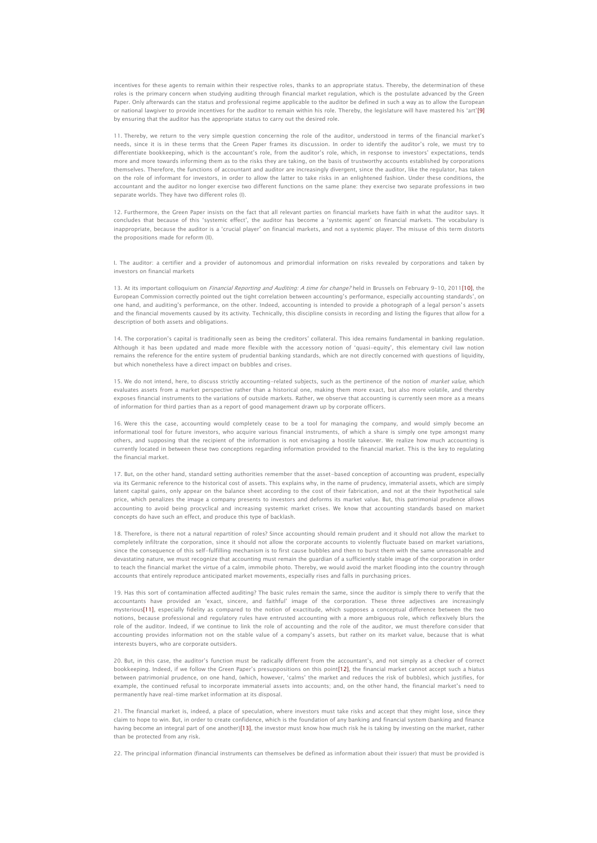incentives for these agents to remain within their respective roles, thanks to an appropriate status. Thereby, the determination of these roles is the primary concern when studying auditing through financial market regulation, which is the postulate advanced by the Green Paper. Only afterwards can the status and professional regime applicable to the auditor be defined in such a way as to allow the European or national lawgiver to provide incentives for the auditor to remain within his role. Thereby, the legislature will have mastered his 'art'[\[9\]](http://www.thejournalofregulation.com/I-1-28-The-auditor-a-crucial.html?var_mode=calcul#_ftn9) by ensuring that the auditor has the appropriate status to carry out the desired role.

11. Thereby, we return to the very simple question concerning the role of the auditor, understood in terms of the financial market's needs, since it is in these terms that the Green Paper frames its discussion. In order to identify the auditor's role, we must try to differentiate bookkeeping, which is the accountant's role, from the auditor's role, which, in response to investors' expectations, tends more and more towards informing them as to the risks they are taking, on the basis of trustworthy accounts established by corporations themselves. Therefore, the functions of accountant and auditor are increasingly divergent, since the auditor, like the regulator, has taken on the role of informant for investors, in order to allow the latter to take risks in an enlightened fashion. Under these conditions, the accountant and the auditor no longer exercise two different functions on the same plane: they exercise two separate professions in two separate worlds. They have two different roles (I).

12. Furthermore, the Green Paper insists on the fact that all relevant parties on financial markets have faith in what the auditor says. It concludes that because of this 'systemic effect', the auditor has become a 'systemic agent' on financial markets. The vocabulary is inappropriate, because the auditor is a 'crucial player' on financial markets, and not a systemic player. The misuse of this term distorts the propositions made for reform (II).

I. The auditor: a certifier and a provider of autonomous and primordial information on risks revealed by corporations and taken by investors on financial markets

13. At its important colloquium on *Financial Reporting and Auditing: A time for change?* held in Brussels on February 9-10, 201[1\[10\],](http://www.thejournalofregulation.com/I-1-28-The-auditor-a-crucial.html?var_mode=calcul#_ftn10) the European Commission correctly pointed out the tight correlation between accounting's performance, especially accounting standards', on one hand, and auditing's performance, on the other. Indeed, accounting is intended to provide a photograph of a legal person's assets and the financial movements caused by its activity. Technically, this discipline consists in recording and listing the figures that allow for a description of both assets and obligations.

14. The corporation's capital is traditionally seen as being the creditors' collateral. This idea remains fundamental in banking regulation. Although it has been updated and made more flexible with the accessory notion of 'quasi-equity', this elementary civil law notion remains the reference for the entire system of prudential banking standards, which are not directly concerned with questions of liquidity, but which nonetheless have a direct impact on bubbles and crises.

15. We do not intend, here, to discuss strictly accounting-related subjects, such as the pertinence of the notion of market value, which evaluates assets from a market perspective rather than a historical one, making them more exact, but also more volatile, and thereby exposes financial instruments to the variations of outside markets. Rather, we observe that accounting is currently seen more as a means of information for third parties than as a report of good management drawn up by corporate officers.

16. Were this the case, accounting would completely cease to be a tool for managing the company, and would simply become an informational tool for future investors, who acquire various financial instruments, of which a share is simply one type amongst many others, and supposing that the recipient of the information is not envisaging a hostile takeover. We realize how much accounting is currently located in between these two conceptions regarding information provided to the financial market. This is the key to regulating the financial market.

17. But, on the other hand, standard setting authorities remember that the asset-based conception of accounting was prudent, especially via its Germanic reference to the historical cost of assets. This explains why, in the name of prudency, immaterial assets, which are simply latent capital gains, only appear on the balance sheet according to the cost of their fabrication, and not at the their hypothetical sale price, which penalizes the image a company presents to investors and deforms its market value. But, this patrimonial prudence allows accounting to avoid being procyclical and increasing systemic market crises. We know that accounting standards based on market concepts do have such an effect, and produce this type of backlash.

18. Therefore, is there not a natural repartition of roles? Since accounting should remain prudent and it should not allow the market to completely infiltrate the corporation, since it should not allow the corporate accounts to violently fluctuate based on market variations, since the consequence of this self-fulfilling mechanism is to first cause bubbles and then to burst them with the same unreasonable and devastating nature, we must recognize that accounting must remain the guardian of a sufficiently stable image of the corporation in order to teach the financial market the virtue of a calm, immobile photo. Thereby, we would avoid the market flooding into the country through accounts that entirely reproduce anticipated market movements, especially rises and falls in purchasing prices.

19. Has this sort of contamination affected auditing? The basic rules remain the same, since the auditor is simply there to verify that the accountants have provided an 'exact, sincere, and faithful' image of the corporation. These three adjectives are increasingly mysteriou[s\[11\],](http://www.thejournalofregulation.com/I-1-28-The-auditor-a-crucial.html?var_mode=calcul#_ftn11) especially fidelity as compared to the notion of exactitude, which supposes a conceptual difference between the two notions, because professional and regulatory rules have entrusted accounting with a more ambiguous role, which reflexively blurs the role of the auditor. Indeed, if we continue to link the role of accounting and the role of the auditor, we must therefore consider that accounting provides information not on the stable value of a company's assets, but rather on its market value, because that is what interests buyers, who are corporate outsiders.

20. But, in this case, the auditor's function must be radically different from the accountant's, and not simply as a checker of correct bookkeeping. Indeed, if we follow the Green Paper's presuppositions on this point[\[12\],](http://www.thejournalofregulation.com/I-1-28-The-auditor-a-crucial.html?var_mode=calcul#_ftn12) the financial market cannot accept such a hiatus between patrimonial prudence, on one hand, (which, however, 'calms' the market and reduces the risk of bubbles), which justifies, for example, the continued refusal to incorporate immaterial assets into accounts; and, on the other hand, the financial market's need to permanently have real-time market information at its disposal.

21. The financial market is, indeed, a place of speculation, where investors must take risks and accept that they might lose, since they claim to hope to win. But, in order to create confidence, which is the foundation of any banking and financial system (banking and finance having become an integral part of one anothe[r\)\[13\],](http://www.thejournalofregulation.com/I-1-28-The-auditor-a-crucial.html?var_mode=calcul#_ftn13) the investor must know how much risk he is taking by investing on the market, rather than be protected from any risk.

22. The principal information (financial instruments can themselves be defined as information about their issuer) that must be provided is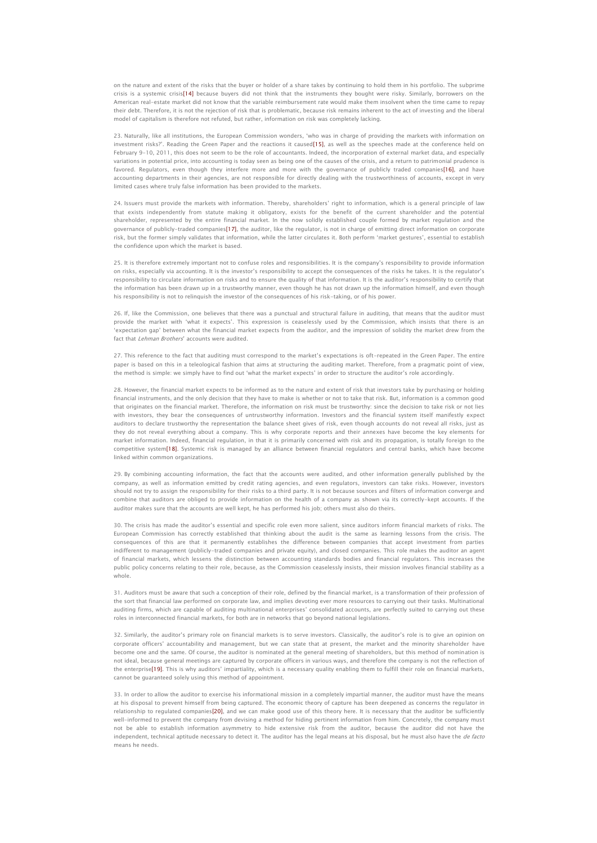on the nature and extent of the risks that the buyer or holder of a share takes by continuing to hold them in his portfolio. The subprime crisis is a systemic crisi[s\[14\]](http://www.thejournalofregulation.com/I-1-28-The-auditor-a-crucial.html?var_mode=calcul#_ftn14) because buyers did not think that the instruments they bought were risky. Similarly, borrowers on the American real-estate market did not know that the variable reimbursement rate would make them insolvent when the time came to repay their debt. Therefore, it is not the rejection of risk that is problematic, because risk remains inherent to the act of investing and the liberal model of capitalism is therefore not refuted, but rather, information on risk was completely lacking.

23. Naturally, like all institutions, the European Commission wonders, 'who was in charge of providing the markets with information on investment risks?'. Reading the Green Paper and the reactions it caused[\[15\],](http://www.thejournalofregulation.com/I-1-28-The-auditor-a-crucial.html?var_mode=calcul#_ftn15) as well as the speeches made at the conference held on February 9-10, 2011, this does not seem to be the role of accountants. Indeed, the incorporation of external market data, and especially variations in potential price, into accounting is today seen as being one of the causes of the crisis, and a return to patrimonial prudence is favored. Regulators, even though they interfere more and more with the governance of publicly traded companies<sup>[16]</sup>, and have accounting departments in their agencies, are not responsible for directly dealing with the trustworthiness of accounts, except in very limited cases where truly false information has been provided to the markets.

24. Issuers must provide the markets with information. Thereby, shareholders' right to information, which is a general principle of law that exists independently from statute making it obligatory, exists for the benefit of the current shareholder and the potential shareholder, represented by the entire financial market. In the now solidly established couple formed by market requilation and the governance of publicly-traded companie[s\[17\],](http://www.thejournalofregulation.com/I-1-28-The-auditor-a-crucial.html?var_mode=calcul#_ftn17) the auditor, like the regulator, is not in charge of emitting direct information on corporate risk, but the former simply validates that information, while the latter circulates it. Both perform 'market gestures', essential to establish the confidence upon which the market is based.

25. It is therefore extremely important not to confuse roles and responsibilities. It is the company's responsibility to provide information on risks, especially via accounting. It is the investor's responsibility to accept the consequences of the risks he takes. It is the regulator's responsibility to circulate information on risks and to ensure the quality of that information. It is the auditor's responsibility to certify that the information has been drawn up in a trustworthy manner, even though he has not drawn up the information himself, and even though his responsibility is not to relinquish the investor of the consequences of his risk-taking, or of his power.

26. If, like the Commission, one believes that there was a punctual and structural failure in auditing, that means that the auditor must provide the market with 'what it expects'. This expression is ceaselessly used by the Commission, which insists that there is an 'expectation gap' between what the financial market expects from the auditor, and the impression of solidity the market drew from the fact that Lehman Brothers' accounts were audited.

27. This reference to the fact that auditing must correspond to the market's expectations is oft-repeated in the Green Paper. The entire paper is based on this in a teleological fashion that aims at structuring the auditing market. Therefore, from a pragmatic point of view, the method is simple: we simply have to find out 'what the market expects' in order to structure the auditor's role accordingly.

28. However, the financial market expects to be informed as to the nature and extent of risk that investors take by purchasing or holding financial instruments, and the only decision that they have to make is whether or not to take that risk. But, information is a common good that originates on the financial market. Therefore, the information on risk must be trustworthy: since the decision to take risk or not lies with investors, they bear the consequences of untrustworthy information. Investors and the financial system itself manifestly expect auditors to declare trustworthy the representation the balance sheet gives of risk, even though accounts do not reveal all risks, just as they do not reveal everything about a company. This is why corporate reports and their annexes have become the key elements for market information. Indeed, financial regulation, in that it is primarily concerned with risk and its propagation, is totally foreign to the competitive syste[m\[18\].](http://www.thejournalofregulation.com/I-1-28-The-auditor-a-crucial.html?var_mode=calcul#_ftn18) Systemic risk is managed by an alliance between financial regulators and central banks, which have become linked within common organizations.

29. By combining accounting information, the fact that the accounts were audited, and other information generally published by the company, as well as information emitted by credit rating agencies, and even regulators, investors can take risks. However, investors should not try to assign the responsibility for their risks to a third party. It is not because sources and filters of information converge and combine that auditors are obliged to provide information on the health of a company as shown via its correctly-kept accounts. If the auditor makes sure that the accounts are well kept, he has performed his job; others must also do theirs.

30. The crisis has made the auditor's essential and specific role even more salient, since auditors inform financial markets of risks. The European Commission has correctly established that thinking about the audit is the same as learning lessons from the crisis. The consequences of this are that it permanently establishes the difference between companies that accept investment from parties indifferent to management (publicly-traded companies and private equity), and closed companies. This role makes the auditor an agent of financial markets, which lessens the distinction between accounting standards bodies and financial regulators. This increases the public policy concerns relating to their role, because, as the Commission ceaselessly insists, their mission involves financial stability as a whole.

31. Auditors must be aware that such a conception of their role, defined by the financial market, is a transformation of their profession of the sort that financial law performed on corporate law, and implies devoting ever more resources to carrying out their tasks. Multinational auditing firms, which are capable of auditing multinational enterprises' consolidated accounts, are perfectly suited to carrying out these roles in interconnected financial markets, for both are in networks that go beyond national legislations.

32. Similarly, the auditor's primary role on financial markets is to serve investors. Classically, the auditor's role is to give an opinion on corporate officers' accountability and management, but we can state that at present, the market and the minority shareholder have become one and the same. Of course, the auditor is nominated at the general meeting of shareholders, but this method of nomination is not ideal, because general meetings are captured by corporate officers in various ways, and therefore the company is not the reflection of the enterpris[e\[19\]](http://www.thejournalofregulation.com/I-1-28-The-auditor-a-crucial.html?var_mode=calcul#_ftn19). This is why auditors' impartiality, which is a necessary quality enabling them to fulfill their role on financial markets, cannot be guaranteed solely using this method of appointment.

33. In order to allow the auditor to exercise his informational mission in a completely impartial manner, the auditor must have the means at his disposal to prevent himself from being captured. The economic theory of capture has been deepened as concerns the regulator in relationship to regulated companies<sup>[20]</sup>, and we can make good use of this theory here. It is necessary that the auditor be sufficiently well-informed to prevent the company from devising a method for hiding pertinent information from him. Concretely, the company must not be able to establish information asymmetry to hide extensive risk from the auditor, because the auditor did not have the independent, technical aptitude necessary to detect it. The auditor has the legal means at his disposal, but he must also have the *de facto* means he needs.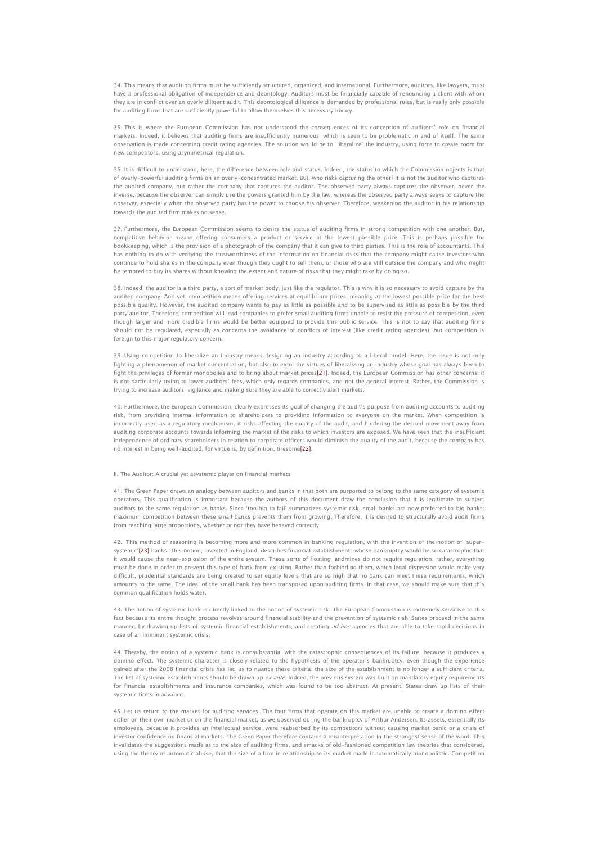34. This means that auditing firms must be sufficiently structured, organized, and international. Furthermore, auditors, like lawyers, must have a professional obligation of independence and deontology. Auditors must be financially capable of renouncing a client with whom they are in conflict over an overly diligent audit. This deontological diligence is demanded by professional rules, but is really only possible for auditing firms that are sufficiently powerful to allow themselves this necessary luxury.

35. This is where the European Commission has not understood the consequences of its conception of auditors' role on financial markets. Indeed, it believes that auditing firms are insufficiently numerous, which is seen to be problematic in and of itself. The same observation is made concerning credit rating agencies. The solution would be to 'liberalize' the industry, using force to create room for new competitors, using asymmetrical regulation.

36. It is difficult to understand, here, the difference between role and status. Indeed, the status to which the Commission objects is that of overly-powerful auditing firms on an overly-concentrated market. But, who risks capturing the other? It is not the auditor who captures the audited company, but rather the company that captures the auditor. The observed party always captures the observer, never the inverse, because the observer can simply use the powers granted him by the law, whereas the observed party always seeks to capture the observer, especially when the observed party has the power to choose his observer. Therefore, weakening the auditor in his relationship towards the audited firm makes no sense.

37. Furthermore, the European Commission seems to desire the status of auditing firms in strong competition with one another. But, competitive behavior means offering consumers a product or service at the lowest possible price. This is perhaps possible for bookkeeping, which is the provision of a photograph of the company that it can give to third parties. This is the role of accountants. This has nothing to do with verifying the trustworthiness of the information on financial risks that the company might cause investors who continue to hold shares in the company even though they ought to sell them, or those who are still outside the company and who might be tempted to buy its shares without knowing the extent and nature of risks that they might take by doing so.

38. Indeed, the auditor is a third party, a sort of market body, just like the regulator. This is why it is so necessary to avoid capture by the audited company. And yet, competition means offering services at equilibrium prices, meaning at the lowest possible price for the best possible quality. However, the audited company wants to pay as little as possible and to be supervised as little as possible by the third party auditor. Therefore, competition will lead companies to prefer small auditing firms unable to resist the pressure of competition, even though larger and more credible firms would be better equipped to provide this public service. This is not to say that auditing firms should not be regulated, especially as concerns the avoidance of conflicts of interest (like credit rating agencies), but competition is foreign to this major regulatory concern.

39. Using competition to liberalize an industry means designing an industry according to a liberal model. Here, the issue is not only fighting a phenomenon of market concentration, but also to extol the virtues of liberalizing an industry whose goal has always been to fight the privileges of former monopolies and to bring about market price[s\[21\].](http://www.thejournalofregulation.com/I-1-28-The-auditor-a-crucial.html?var_mode=calcul#_ftn21) Indeed, the European Commission has other concerns: it is not particularly trying to lower auditors' fees, which only regards companies, and not the general interest. Rather, the Commission is trying to increase auditors' vigilance and making sure they are able to correctly alert markets.

40. Furthermore, the European Commission, clearly expresses its goal of changing the audit's purpose from auditing accounts to auditing risk, from providing internal information to shareholders to providing information to everyone on the market. When competition is incorrectly used as a regulatory mechanism, it risks affecting the quality of the audit, and hindering the desired movement away from auditing corporate accounts towards informing the market of the risks to which investors are exposed. We have seen that the insufficient independence of ordinary shareholders in relation to corporate officers would diminish the quality of the audit, because the company has no interest in being well-audited, for virtue is, by definition, tiresom[e\[22\].](http://www.thejournalofregulation.com/I-1-28-The-auditor-a-crucial.html?var_mode=calcul#_ftn22)

## II. The Auditor: A crucial yet asystemic player on financial markets

41. The Green Paper draws an analogy between auditors and banks in that both are purported to belong to the same category of systemic operators. This qualification is important because the authors of this document draw the conclusion that it is legitimate to subject auditors to the same regulation as banks. Since 'too big to fail' summarizes systemic risk, small banks are now preferred to big banks: maximum competition between these small banks prevents them from growing. Therefore, it is desired to structurally avoid audit firms from reaching large proportions, whether or not they have behaved correctly

42. This method of reasoning is becoming more and more common in banking regulation, with the invention of the notion of 'supersystemic'[\[23\]](http://www.thejournalofregulation.com/I-1-28-The-auditor-a-crucial.html?var_mode=calcul#_ftn23) banks. This notion, invented in England, describes financial establishments whose bankruptcy would be so catastrophic that it would cause the near-explosion of the entire system. These sorts of floating landmines do not require regulation; rather, everything must be done in order to prevent this type of bank from existing. Rather than forbidding them, which legal dispersion would make very difficult, prudential standards are being created to set equity levels that are so high that no bank can meet these requirements, which amounts to the same. The ideal of the small bank has been transposed upon auditing firms. In that case, we should make sure that this common qualification holds water.

43. The notion of systemic bank is directly linked to the notion of systemic risk. The European Commission is extremely sensitive to this fact because its entire thought process revolves around financial stability and the prevention of systemic risk. States proceed in the same manner, by drawing up lists of systemic financial establishments, and creating ad hoc agencies that are able to take rapid decisions in case of an imminent systemic crisis.

44. Thereby, the notion of a systemic bank is consubstantial with the catastrophic consequences of its failure, because it produces a domino effect. The systemic character is closely related to the hypothesis of the operator's bankruptcy, even though the experience gained after the 2008 financial crisis has led us to nuance these criteria: the size of the establishment is no longer a sufficient criteria. The list of systemic establishments should be drawn up ex ante. Indeed, the previous system was built on mandatory equity requirements for financial establishments and insurance companies, which was found to be too abstract. At present, States draw up lists of their systemic firms in advance.

45. Let us return to the market for auditing services. The four firms that operate on this market are unable to create a domino effect either on their own market or on the financial market, as we observed during the bankruptcy of Arthur Andersen. Its assets, essentially its employees, because it provides an intellectual service, were reabsorbed by its competitors without causing market panic or a crisis of investor confidence on financial markets. The Green Paper therefore contains a misinterpretation in the strongest sense of the word. This invalidates the suggestions made as to the size of auditing firms, and smacks of old-fashioned competition law theories that considered, using the theory of automatic abuse, that the size of a firm in relationship to its market made it automatically monopolistic. Competition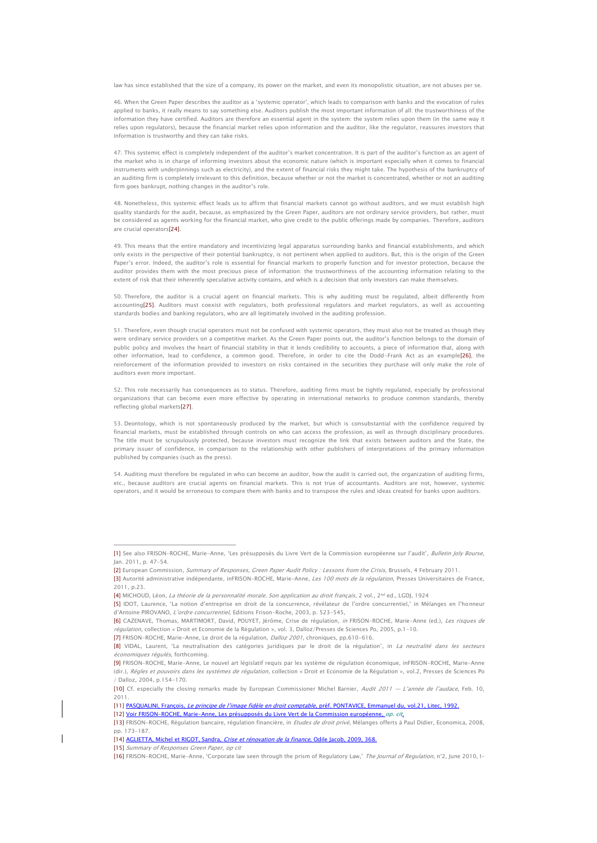law has since established that the size of a company, its power on the market, and even its monopolistic situation, are not abuses per se.

46. When the Green Paper describes the auditor as a 'systemic operator', which leads to comparison with banks and the evocation of rules applied to banks, it really means to say something else. Auditors publish the most important information of all: the trustworthiness of the information they have certified. Auditors are therefore an essential agent in the system: the system relies upon them (in the same way it relies upon regulators), because the financial market relies upon information and the auditor, like the regulator, reassures investors that information is trustworthy and they can take risks.

47. This systemic effect is completely independent of the auditor's market concentration. It is part of the auditor's function as an agent of the market who is in charge of informing investors about the economic nature (which is important especially when it comes to financial instruments with underpinnings such as electricity), and the extent of financial risks they might take. The hypothesis of the bankruptcy of an auditing firm is completely irrelevant to this definition, because whether or not the market is concentrated, whether or not an auditing firm goes bankrupt, nothing changes in the auditor's role.

48. Nonetheless, this systemic effect leads us to affirm that financial markets cannot go without auditors, and we must establish high quality standards for the audit, because, as emphasized by the Green Paper, auditors are not ordinary service providers, but rather, must be considered as agents working for the financial market, who give credit to the public offerings made by companies. Therefore, auditors are crucial operator[s\[24\].](http://www.thejournalofregulation.com/I-1-28-The-auditor-a-crucial.html?var_mode=calcul#_ftn24)

49. This means that the entire mandatory and incentivizing legal apparatus surrounding banks and financial establishments, and which only exists in the perspective of their potential bankruptcy, is not pertinent when applied to auditors. But, this is the origin of the Green Paper's error. Indeed, the auditor's role is essential for financial markets to properly function and for investor protection, because the auditor provides them with the most precious piece of information: the trustworthiness of the accounting information relating to the extent of risk that their inherently speculative activity contains, and which is a decision that only investors can make themselves.

50. Therefore, the auditor is a crucial agent on financial markets. This is why auditing must be regulated, albeit differently from accountin[g\[25\].](http://www.thejournalofregulation.com/I-1-28-The-auditor-a-crucial.html?var_mode=calcul#_ftn25) Auditors must coexist with regulators, both professional regulators and market regulators, as well as accounting standards bodies and banking regulators, who are all legitimately involved in the auditing profession.

51. Therefore, even though crucial operators must not be confused with systemic operators, they must also not be treated as though they were ordinary service providers on a competitive market. As the Green Paper points out, the auditor's function belongs to the domain of public policy and involves the heart of financial stability in that it lends credibility to accounts, a piece of information that, along with other information, lead to confidence, a common good. Therefore, in order to cite the Dodd-Frank Act as an exampl[e\[26\],](http://www.thejournalofregulation.com/I-1-28-The-auditor-a-crucial.html?var_mode=calcul#_ftn26) the reinforcement of the information provided to investors on risks contained in the securities they purchase will only make the role of auditors even more important.

52. This role necessarily has consequences as to status. Therefore, auditing firms must be tightly regulated, especially by professional organizations that can become even more effective by operating in international networks to produce common standards, thereby reflecting global market[s\[27\].](http://www.thejournalofregulation.com/I-1-28-The-auditor-a-crucial.html?var_mode=calcul#_ftn27)

53. Deontology, which is not spontaneously produced by the market, but which is consubstantial with the confidence required by financial markets, must be established through controls on who can access the profession, as well as through disciplinary procedures. The title must be scrupulously protected, because investors must recognize the link that exists between auditors and the State, the primary issuer of confidence, in comparison to the relationship with other publishers of interpretations of the primary information published by companies (such as the press).

54. Auditing must therefore be regulated in who can become an auditor, how the audit is carried out, the organization of auditing firms, etc., because auditors are crucial agents on financial markets. This is not true of accountants. Auditors are not, however, systemic operators, and it would be erroneous to compare them with banks and to transpose the rules and ideas created for banks upon auditors.

d'Antoine PIROVANO, L'ordre concurrentiel, Editions Frison-Roche, 2003, p. 523-545,

[\[6\]](http://www.thejournalofregulation.com/I-1-28-The-auditor-a-crucial.html?var_mode=calcul#_ftnref6) CAZENAVE, Thomas, MARTIMORT, David, POUYET, Jérôme, Crise de régulation, in FRISON-ROCHE, Marie-Anne (ed.), Les risques de régulation, collection « Droit et Economie de la Régulation », vol. 3, Dalloz/Presses de Sciences Po, 2005, p.1-10.

[\[10\]](http://www.thejournalofregulation.com/I-1-28-The-auditor-a-crucial.html?var_mode=calcul#_ftnref10) Cf. especially the closing remarks made by European Commissioner Michel Barnier, Audit 2011 — L'année de l'audace, Feb. 10, .<br>2011.

[\[11\]](http://www.thejournalofregulation.com/I-1-28-The-auditor-a-crucial.html?var_mode=calcul#_ftnref11) PASQUALINI, François, Le principe de l'image fidèle en droit comptable, préf. PONTAVICE, Emmanuel du, vol.21, Litec, 1992.

[\[12\]](http://www.thejournalofregulation.com/I-1-28-The-auditor-a-crucial.html?var_mode=calcul#_ftnref12) Voir FRISON-ROCHE, Marie-Anne, Les présupposés du Livre Vert de la Commission européenne, op. cit. [\[13\]](http://www.thejournalofregulation.com/I-1-28-The-auditor-a-crucial.html?var_mode=calcul#_ftnref13) FRISON-ROCHE, Régulation bancaire, régulation financière, in *Etudes de droit privé*, Mélanges offerts à Paul Didier, Economica, 2008,

pp. 173-187.

[\[15\]](http://www.thejournalofregulation.com/I-1-28-The-auditor-a-crucial.html?var_mode=calcul#_ftnref15) Summary of Responses Green Paper, op cit

[\[16\]](http://www.thejournalofregulation.com/I-1-28-The-auditor-a-crucial.html?var_mode=calcul#_ftnref16) FRISON-ROCHE, Marie-Anne, 'Corporate law seen through the prism of Regulatory Law,' The Journal of Regulation, n°2, June 2010, I-

[<sup>\[1\]</sup>](http://www.thejournalofregulation.com/I-1-28-The-auditor-a-crucial.html?var_mode=calcul#_ftnref1) See also FRISON-ROCHE, Marie-Anne, 'Les présupposés du Livre Vert de la Commission européenne sur l'audit', Bulletin Joly Bourse, Jan. 2011, p. 47-54.

[<sup>\[2\]</sup>](http://www.thejournalofregulation.com/I-1-28-The-auditor-a-crucial.html?var_mode=calcul#_ftnref2) European Commission, Summary of Responses, Green Paper Audit Policy : Lessons from the Crisis, Brussels, 4 February 2011.

[<sup>\[3\]</sup>](http://www.thejournalofregulation.com/I-1-28-The-auditor-a-crucial.html?var_mode=calcul#_ftnref3) Autorité administrative indépendante, inFRISON-ROCHE, Marie-Anne, Les 100 mots de la régulation, Presses Universitaires de France, 2011, p.23.

[<sup>\[4\]</sup>](http://www.thejournalofregulation.com/I-1-28-The-auditor-a-crucial.html?var_mode=calcul#_ftnref4) MICHOUD, Léon, La théorie de la personnalité morale. Son application au droit français, 2 vol., 2<sup>nd</sup> ed., LGDJ, 1924 [\[5\]](http://www.thejournalofregulation.com/I-1-28-The-auditor-a-crucial.html?var_mode=calcul#_ftnref5) IDOT, Laurence, 'La notion d'entreprise en droit de la concurrence, révélateur de l'ordre concurrentiel,' in Mélanges en l'honneur

[<sup>\[7\]</sup>](http://www.thejournalofregulation.com/I-1-28-The-auditor-a-crucial.html?var_mode=calcul#_ftnref7) FRISON-ROCHE, Marie-Anne, Le droit de la régulation, Dalloz 2001, chroniques, pp.610-616.

[<sup>\[8\]</sup>](http://www.thejournalofregulation.com/I-1-28-The-auditor-a-crucial.html?var_mode=calcul#_ftnref8) VIDAL, Laurent, 'La neutralisation des catégories juridiques par le droit de la régulation', in La neutralité dans les secteurs économiques régulés, forthcoming.

[<sup>\[9\]</sup>](http://www.thejournalofregulation.com/I-1-28-The-auditor-a-crucial.html?var_mode=calcul#_ftnref9) FRISON-ROCHE, Marie-Anne, Le nouvel art législatif requis par les système de régulation économique, inFRISON-ROCHE, Marie-Anne (dir.), Régles et pouvoirs dans les systèmes de régulation, collection « Droit et Economie de la Régulation », vol.2, Presses de Sciences Po / Dalloz, 2004, p.154-170.

[<sup>\[14\]</sup>](http://www.thejournalofregulation.com/I-1-28-The-auditor-a-crucial.html?var_mode=calcul#_ftnref14) AGLIETTA, Michel et RIGOT, Sandra, Crise et rénovation de la finance, Odile Jacob, 2009, 368.